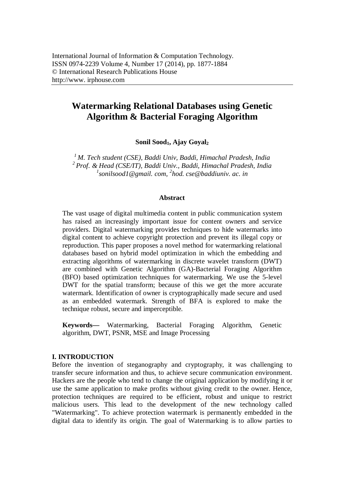# **Watermarking Relational Databases using Genetic Algorithm & Bacterial Foraging Algorithm**

**Sonil Sood1, Ajay Goyal<sup>2</sup>**

*<sup>1</sup> M. Tech student (CSE), Baddi Univ, Baddi, Himachal Pradesh, India 2 Prof. & Head (CSE/IT), Baddi Univ., Baddi, Himachal Pradesh, India 1 sonilsood1@gmail. com, 2 hod. cse@baddiuniv. ac. in*

#### **Abstract**

The vast usage of digital multimedia content in public communication system has raised an increasingly important issue for content owners and service providers. Digital watermarking provides techniques to hide watermarks into digital content to achieve copyright protection and prevent its illegal copy or reproduction. This paper proposes a novel method for watermarking relational databases based on hybrid model optimization in which the embedding and extracting algorithms of watermarking in discrete wavelet transform (DWT) are combined with Genetic Algorithm (GA)-Bacterial Foraging Algorithm (BFO) based optimization techniques for watermarking. We use the 5-level DWT for the spatial transform; because of this we get the more accurate watermark. Identification of owner is cryptographically made secure and used as an embedded watermark. Strength of BFA is explored to make the technique robust, secure and imperceptible.

**Keywords—** Watermarking, Bacterial Foraging Algorithm, Genetic algorithm, DWT, PSNR, MSE and Image Processing

# **I. INTRODUCTION**

Before the invention of steganography and cryptography, it was challenging to transfer secure information and thus, to achieve secure communication environment. Hackers are the people who tend to change the original application by modifying it or use the same application to make profits without giving credit to the owner. Hence, protection techniques are required to be efficient, robust and unique to restrict malicious users. This lead to the development of the new technology called "Watermarking". To achieve protection watermark is permanently embedded in the digital data to identify its origin. The goal of Watermarking is to allow parties to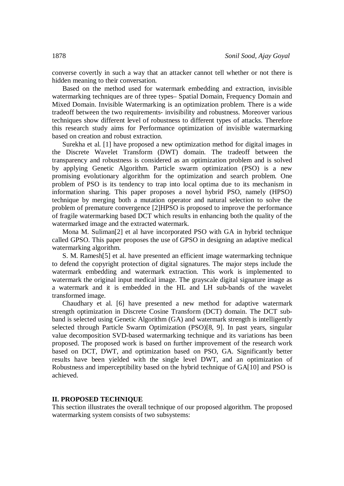converse covertly in such a way that an attacker cannot tell whether or not there is hidden meaning to their conversation.

Based on the method used for watermark embedding and extraction, invisible watermarking techniques are of three types– Spatial Domain, Frequency Domain and Mixed Domain. Invisible Watermarking is an optimization problem. There is a wide tradeoff between the two requirements- invisibility and robustness. Moreover various techniques show different level of robustness to different types of attacks. Therefore this research study aims for Performance optimization of invisible watermarking based on creation and robust extraction.

Surekha et al. [1] have proposed a new optimization method for digital images in the Discrete Wavelet Transform (DWT) domain. The tradeoff between the transparency and robustness is considered as an optimization problem and is solved by applying Genetic Algorithm. Particle swarm optimization (PSO) is a new promising evolutionary algorithm for the optimization and search problem. One problem of PSO is its tendency to trap into local optima due to its mechanism in information sharing. This paper proposes a novel hybrid PSO, namely (HPSO) technique by merging both a mutation operator and natural selection to solve the problem of premature convergence [2]HPSO is proposed to improve the performance of fragile watermarking based DCT which results in enhancing both the quality of the watermarked image and the extracted watermark.

Mona M. Suliman[2] et al have incorporated PSO with GA in hybrid technique called GPSO. This paper proposes the use of GPSO in designing an adaptive medical watermarking algorithm.

S. M. Ramesh[5] et al. have presented an efficient image watermarking technique to defend the copyright protection of digital signatures. The major steps include the watermark embedding and watermark extraction. This work is implemented to watermark the original input medical image. The grayscale digital signature image as a watermark and it is embedded in the HL and LH sub-bands of the wavelet transformed image.

Chaudhary et al. [6] have presented a new method for adaptive watermark strength optimization in Discrete Cosine Transform (DCT) domain. The DCT subband is selected using Genetic Algorithm (GA) and watermark strength is intelligently selected through Particle Swarm Optimization (PSO)[8, 9]. In past years, singular value decomposition SVD-based watermarking technique and its variations has been proposed. The proposed work is based on further improvement of the research work based on DCT, DWT, and optimization based on PSO, GA. Significantly better results have been yielded with the single level DWT, and an optimization of Robustness and imperceptibility based on the hybrid technique of GA[10] and PSO is achieved.

### **II. PROPOSED TECHNIQUE**

This section illustrates the overall technique of our proposed algorithm. The proposed watermarking system consists of two subsystems: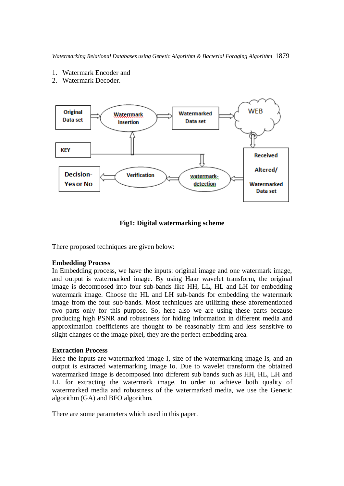- 1. Watermark Encoder and
- 2. Watermark Decoder.



# **Fig1: Digital watermarking scheme**

There proposed techniques are given below:

### **Embedding Process**

In Embedding process, we have the inputs: original image and one watermark image, and output is watermarked image. By using Haar wavelet transform, the original image is decomposed into four sub-bands like HH, LL, HL and LH for embedding watermark image. Choose the HL and LH sub-bands for embedding the watermark image from the four sub-bands. Most techniques are utilizing these aforementioned two parts only for this purpose. So, here also we are using these parts because producing high PSNR and robustness for hiding information in different media and approximation coefficients are thought to be reasonably firm and less sensitive to slight changes of the image pixel, they are the perfect embedding area.

#### **Extraction Process**

Here the inputs are watermarked image I, size of the watermarking image Is, and an output is extracted watermarking image Io. Due to wavelet transform the obtained watermarked image is decomposed into different sub bands such as HH, HL, LH and LL for extracting the watermark image. In order to achieve both quality of watermarked media and robustness of the watermarked media, we use the Genetic algorithm (GA) and BFO algorithm.

There are some parameters which used in this paper.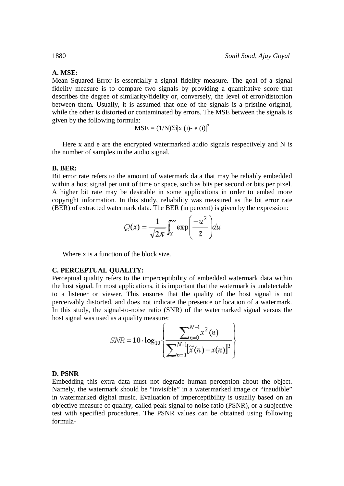# **A. MSE:**

Mean Squared Error is essentially a signal fidelity measure. The goal of a signal fidelity measure is to compare two signals by providing a quantitative score that describes the degree of similarity/fidelity or, conversely, the level of error/distortion between them. Usually, it is assumed that one of the signals is a pristine original, while the other is distorted or contaminated by errors. The MSE between the signals is given by the following formula:

$$
MSE = (1/N)\Sigma i |x (i) - e (i)|^2
$$

Here x and e are the encrypted watermarked audio signals respectively and N is the number of samples in the audio signal.

#### **B. BER:**

Bit error rate refers to the amount of watermark data that may be reliably embedded within a host signal per unit of time or space, such as bits per second or bits per pixel. A higher bit rate may be desirable in some applications in order to embed more copyright information. In this study, reliability was measured as the bit error rate (BER) of extracted watermark data. The BER (in percent) is given by the expression:

$$
Q(x) = \frac{1}{\sqrt{2\pi}} \int_{x}^{\infty} \exp\left(\frac{-u^2}{2}\right) du
$$

 $\sim$ 

Where x is a function of the block size.

#### **C. PERCEPTUAL QUALITY:**

Perceptual quality refers to the imperceptibility of embedded watermark data within the host signal. In most applications, it is important that the watermark is undetectable to a listener or viewer. This ensures that the quality of the host signal is not perceivably distorted, and does not indicate the presence or location of a watermark. In this study, the signal-to-noise ratio (SNR) of the watermarked signal versus the host signal was used as a quality measure:

$$
SNR = 10 \cdot \log_{10}\left\{\frac{\sum_{n=0}^{N-1} x^2(n)}{\sum_{n=1}^{N-1} [\widetilde{x}(n) - x(n)]^2}\right\}
$$

#### **D. PSNR**

Embedding this extra data must not degrade human perception about the object. Namely, the watermark should be "invisible" in a watermarked image or "inaudible" in watermarked digital music. Evaluation of imperceptibility is usually based on an objective measure of quality, called peak signal to noise ratio (PSNR), or a subjective test with specified procedures. The PSNR values can be obtained using following formula-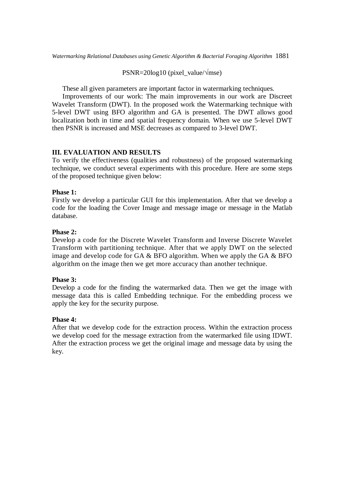PSNR=20log10 (pixel\_value/√mse)

These all given parameters are important factor in watermarking techniques.

Improvements of our work: The main improvements in our work are Discreet Wavelet Transform (DWT). In the proposed work the Watermarking technique with 5-level DWT using BFO algorithm and GA is presented. The DWT allows good localization both in time and spatial frequency domain. When we use 5-level DWT then PSNR is increased and MSE decreases as compared to 3-level DWT.

# **III. EVALUATION AND RESULTS**

To verify the effectiveness (qualities and robustness) of the proposed watermarking technique, we conduct several experiments with this procedure. Here are some steps of the proposed technique given below:

# **Phase 1:**

Firstly we develop a particular GUI for this implementation. After that we develop a code for the loading the Cover Image and message image or message in the Matlab database.

# **Phase 2:**

Develop a code for the Discrete Wavelet Transform and Inverse Discrete Wavelet Transform with partitioning technique. After that we apply DWT on the selected image and develop code for GA  $&$  BFO algorithm. When we apply the GA  $&$  BFO algorithm on the image then we get more accuracy than another technique.

# **Phase 3:**

Develop a code for the finding the watermarked data. Then we get the image with message data this is called Embedding technique. For the embedding process we apply the key for the security purpose.

# **Phase 4:**

After that we develop code for the extraction process. Within the extraction process we develop coed for the message extraction from the watermarked file using IDWT. After the extraction process we get the original image and message data by using the key.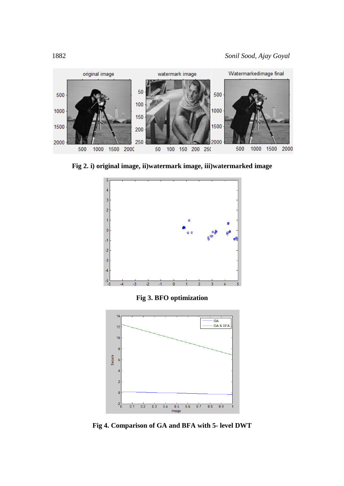

**Fig 2. i) original image, ii)watermark image, iii)watermarked image**



**Fig 3. BFO optimization**



**Fig 4. Comparison of GA and BFA with 5- level DWT**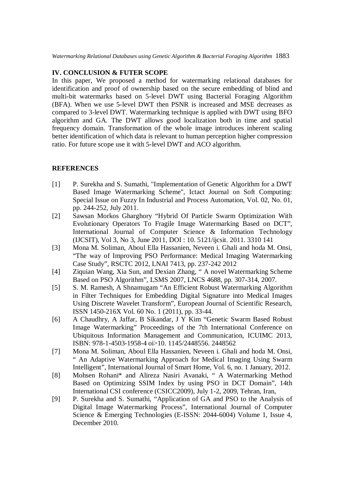# **IV. CONCLUSION & FUTER SCOPE**

In this paper, We proposed a method for watermarking relational databases for identification and proof of ownership based on the secure embedding of blind and multi-bit watermarks based on 5-level DWT using Bacterial Foraging Algorithm (BFA). When we use 5-level DWT then PSNR is increased and MSE decreases as compared to 3-level DWT. Watermarking technique is applied with DWT using BFO algorithm and GA. The DWT allows good localization both in time and spatial frequency domain. Transformation of the whole image introduces inherent scaling better identification of which data is relevant to human perception higher compression ratio. For future scope use it with 5-level DWT and ACO algorithm.

# **REFERENCES**

- [1] P. Surekha and S. Sumathi, "Implementation of Genetic Algorithm for a DWT Based Image Watermarking Scheme", Ictact Journal on Soft Computing: Special Issue on Fuzzy In Industrial and Process Automation, Vol. 02, No. 01, pp. 244-252, July 2011.
- [2] Sawsan Morkos Gharghory "Hybrid Of Particle Swarm Optimization With Evolutionary Operators To Fragile Image Watermarking Based on DCT", International Journal of Computer Science & Information Technology (IJCSIT), Vol 3, No 3, June 2011, DOI : 10. 5121/ijcsit. 2011. 3310 141
- [3] Mona M. Soliman, Aboul Ella Hassanien, Neveen i. Ghali and hoda M. Onsi, "The way of Improving PSO Performance: Medical Imaging Watermarking Case Study", RSCTC 2012, LNAI 7413, pp. 237-242 2012
- [4] Ziquian Wang, Xia Sun, and Dexian Zhang, " A novel Watermarking Scheme Based on PSO Algorithm", LSMS 2007, LNCS 4688, pp. 307-314, 2007.
- [5] S. M. Ramesh, A Shnamugam "An Efficient Robust Watermarking Algorithm in Filter Techniques for Embedding Digital Signature into Medical Images Using Discrete Wavelet Transform", European Journal of Scientific Research, ISSN 1450-216X Vol. 60 No. 1 (2011), pp. 33-44.
- [6] A Chaudhry, A Jaffar, B Sikandar, J Y Kim "Genetic Swarm Based Robust Image Watermarking" Proceedings of the 7th International Conference on Ubiquitous Information Management and Communication, ICUIMC 2013, ISBN: 978-1-4503-1958-4 oi>10. 1145/2448556. 2448562
- [7] Mona M. Soliman, Aboul Ella Hassanien, Neveen i. Ghali and hoda M. Onsi, " An Adaptive Watermarking Approach for Medical Imaging Using Swarm Intelligent", International Journal of Smart Home, Vol. 6, no. 1 January, 2012.
- [8] Mohsen Rohani\* and Alireza Nasiri Avanaki, " A Watermarking Method Based on Optimizing SSIM Index by using PSO in DCT Domain", 14th International CSI conference (CSICC2009), July 1-2, 2009, Tehran, Iran,
- [9] P. Surekha and S. Sumathi, "Application of GA and PSO to the Analysis of Digital Image Watermarking Process", International Journal of Computer Science & Emerging Technologies (E-ISSN: 2044-6004) Volume 1, Issue 4, December 2010.